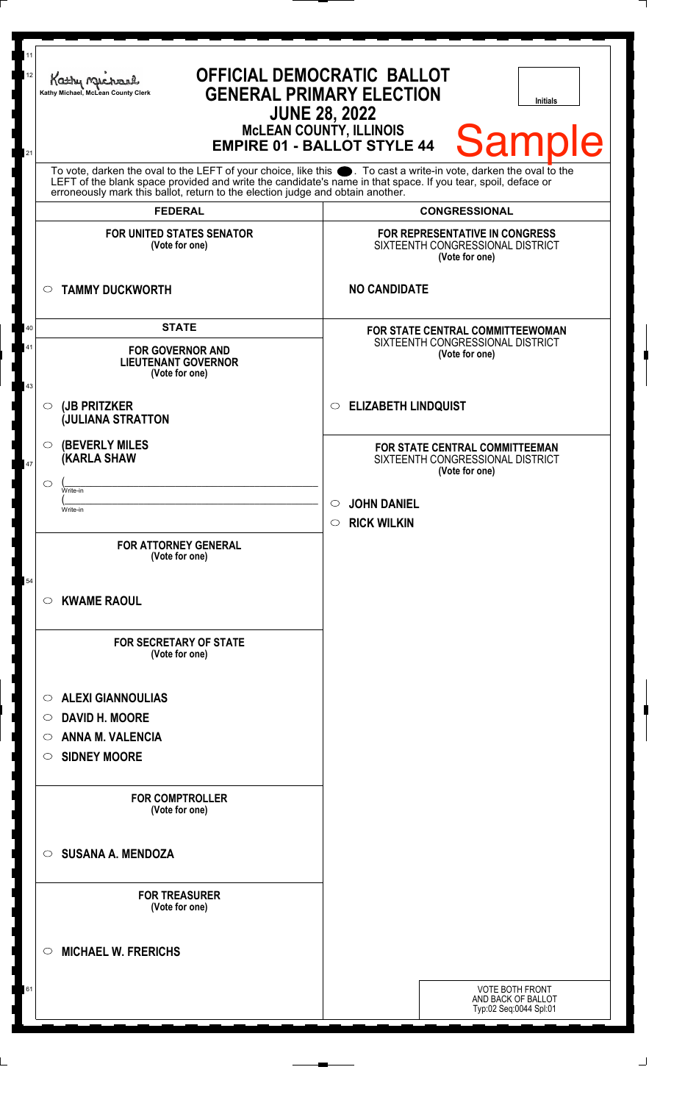| To vote, darken the oval to the LEFT of your choice, like this $\bullet$ . To cast a write-in vote, darken the oval to the LEFT of the blank space provided and write the candidate's name in that space. If you tear, spoil, deface<br>erroneously mark this ballot, return to the election judge and obtain another.<br><b>CONGRESSIONAL</b><br><b>FEDERAL</b><br>FOR REPRESENTATIVE IN CONGRESS<br><b>FOR UNITED STATES SENATOR</b><br>SIXTEENTH CONGRESSIONAL DISTRICT<br>(Vote for one)<br>(Vote for one)<br><b>NO CANDIDATE</b><br><b>TAMMY DUCKWORTH</b><br>$\circ$<br><b>STATE</b><br>40<br><b>FOR STATE CENTRAL COMMITTEEWOMAN</b><br>SIXTEENTH CONGRESSIONAL DISTRICT<br>41<br><b>FOR GOVERNOR AND</b><br>(Vote for one)<br><b>LIEUTENANT GOVERNOR</b><br>(Vote for one)<br>43<br><b>ELIZABETH LINDQUIST</b><br>(JB PRITZKER<br>$\circ$<br>$\circ$<br><b>JULIANA STRATTON</b><br><b>(BEVERLY MILES)</b><br>$\circ$<br>FOR STATE CENTRAL COMMITTEEMAN<br><b>(KARLA SHAW</b><br>SIXTEENTH CONGRESSIONAL DISTRICT<br>47<br>(Vote for one)<br>$\circ$<br>Write-in<br><b>JOHN DANIEL</b><br>$\circ$<br>Write-in<br>$\circ$ RICK WILKIN<br><b>FOR ATTORNEY GENERAL</b><br>(Vote for one)<br>54<br><b>KWAME RAOUL</b><br>C).<br><b>FOR SECRETARY OF STATE</b><br>(Vote for one)<br><b>ALEXI GIANNOULIAS</b><br>O<br><b>DAVID H. MOORE</b><br>$\circ$<br><b>ANNA M. VALENCIA</b><br>O<br><b>SIDNEY MOORE</b><br>O<br><b>FOR COMPTROLLER</b><br>(Vote for one)<br><b>SUSANA A. MENDOZA</b><br>$\circ$<br><b>FOR TREASURER</b><br>(Vote for one)<br>◯ | 11<br>12<br>21 | Kathy Michael<br>Kathy Michael, McLean County Clerk | <b>OFFICIAL DEMOCRATIC BALLOT</b><br><b>GENERAL PRIMARY ELECTION</b><br><b>Initials</b><br><b>JUNE 28, 2022</b><br><b>MCLEAN COUNTY, ILLINOIS</b><br><b>Sample</b><br><b>EMPIRE 01 - BALLOT STYLE 44</b> |
|-------------------------------------------------------------------------------------------------------------------------------------------------------------------------------------------------------------------------------------------------------------------------------------------------------------------------------------------------------------------------------------------------------------------------------------------------------------------------------------------------------------------------------------------------------------------------------------------------------------------------------------------------------------------------------------------------------------------------------------------------------------------------------------------------------------------------------------------------------------------------------------------------------------------------------------------------------------------------------------------------------------------------------------------------------------------------------------------------------------------------------------------------------------------------------------------------------------------------------------------------------------------------------------------------------------------------------------------------------------------------------------------------------------------------------------------------------------------------------------------------------------------------------------------------------|----------------|-----------------------------------------------------|----------------------------------------------------------------------------------------------------------------------------------------------------------------------------------------------------------|
|                                                                                                                                                                                                                                                                                                                                                                                                                                                                                                                                                                                                                                                                                                                                                                                                                                                                                                                                                                                                                                                                                                                                                                                                                                                                                                                                                                                                                                                                                                                                                       |                |                                                     |                                                                                                                                                                                                          |
|                                                                                                                                                                                                                                                                                                                                                                                                                                                                                                                                                                                                                                                                                                                                                                                                                                                                                                                                                                                                                                                                                                                                                                                                                                                                                                                                                                                                                                                                                                                                                       |                |                                                     |                                                                                                                                                                                                          |
|                                                                                                                                                                                                                                                                                                                                                                                                                                                                                                                                                                                                                                                                                                                                                                                                                                                                                                                                                                                                                                                                                                                                                                                                                                                                                                                                                                                                                                                                                                                                                       |                |                                                     |                                                                                                                                                                                                          |
|                                                                                                                                                                                                                                                                                                                                                                                                                                                                                                                                                                                                                                                                                                                                                                                                                                                                                                                                                                                                                                                                                                                                                                                                                                                                                                                                                                                                                                                                                                                                                       |                |                                                     |                                                                                                                                                                                                          |
|                                                                                                                                                                                                                                                                                                                                                                                                                                                                                                                                                                                                                                                                                                                                                                                                                                                                                                                                                                                                                                                                                                                                                                                                                                                                                                                                                                                                                                                                                                                                                       |                |                                                     |                                                                                                                                                                                                          |
|                                                                                                                                                                                                                                                                                                                                                                                                                                                                                                                                                                                                                                                                                                                                                                                                                                                                                                                                                                                                                                                                                                                                                                                                                                                                                                                                                                                                                                                                                                                                                       |                |                                                     |                                                                                                                                                                                                          |
|                                                                                                                                                                                                                                                                                                                                                                                                                                                                                                                                                                                                                                                                                                                                                                                                                                                                                                                                                                                                                                                                                                                                                                                                                                                                                                                                                                                                                                                                                                                                                       |                |                                                     |                                                                                                                                                                                                          |
|                                                                                                                                                                                                                                                                                                                                                                                                                                                                                                                                                                                                                                                                                                                                                                                                                                                                                                                                                                                                                                                                                                                                                                                                                                                                                                                                                                                                                                                                                                                                                       |                |                                                     |                                                                                                                                                                                                          |
|                                                                                                                                                                                                                                                                                                                                                                                                                                                                                                                                                                                                                                                                                                                                                                                                                                                                                                                                                                                                                                                                                                                                                                                                                                                                                                                                                                                                                                                                                                                                                       |                |                                                     |                                                                                                                                                                                                          |
|                                                                                                                                                                                                                                                                                                                                                                                                                                                                                                                                                                                                                                                                                                                                                                                                                                                                                                                                                                                                                                                                                                                                                                                                                                                                                                                                                                                                                                                                                                                                                       |                |                                                     |                                                                                                                                                                                                          |
|                                                                                                                                                                                                                                                                                                                                                                                                                                                                                                                                                                                                                                                                                                                                                                                                                                                                                                                                                                                                                                                                                                                                                                                                                                                                                                                                                                                                                                                                                                                                                       |                |                                                     |                                                                                                                                                                                                          |
|                                                                                                                                                                                                                                                                                                                                                                                                                                                                                                                                                                                                                                                                                                                                                                                                                                                                                                                                                                                                                                                                                                                                                                                                                                                                                                                                                                                                                                                                                                                                                       |                |                                                     |                                                                                                                                                                                                          |
|                                                                                                                                                                                                                                                                                                                                                                                                                                                                                                                                                                                                                                                                                                                                                                                                                                                                                                                                                                                                                                                                                                                                                                                                                                                                                                                                                                                                                                                                                                                                                       |                |                                                     |                                                                                                                                                                                                          |
|                                                                                                                                                                                                                                                                                                                                                                                                                                                                                                                                                                                                                                                                                                                                                                                                                                                                                                                                                                                                                                                                                                                                                                                                                                                                                                                                                                                                                                                                                                                                                       |                |                                                     |                                                                                                                                                                                                          |
|                                                                                                                                                                                                                                                                                                                                                                                                                                                                                                                                                                                                                                                                                                                                                                                                                                                                                                                                                                                                                                                                                                                                                                                                                                                                                                                                                                                                                                                                                                                                                       |                |                                                     |                                                                                                                                                                                                          |
|                                                                                                                                                                                                                                                                                                                                                                                                                                                                                                                                                                                                                                                                                                                                                                                                                                                                                                                                                                                                                                                                                                                                                                                                                                                                                                                                                                                                                                                                                                                                                       |                |                                                     |                                                                                                                                                                                                          |
|                                                                                                                                                                                                                                                                                                                                                                                                                                                                                                                                                                                                                                                                                                                                                                                                                                                                                                                                                                                                                                                                                                                                                                                                                                                                                                                                                                                                                                                                                                                                                       |                |                                                     |                                                                                                                                                                                                          |
|                                                                                                                                                                                                                                                                                                                                                                                                                                                                                                                                                                                                                                                                                                                                                                                                                                                                                                                                                                                                                                                                                                                                                                                                                                                                                                                                                                                                                                                                                                                                                       |                |                                                     |                                                                                                                                                                                                          |
|                                                                                                                                                                                                                                                                                                                                                                                                                                                                                                                                                                                                                                                                                                                                                                                                                                                                                                                                                                                                                                                                                                                                                                                                                                                                                                                                                                                                                                                                                                                                                       |                |                                                     |                                                                                                                                                                                                          |
|                                                                                                                                                                                                                                                                                                                                                                                                                                                                                                                                                                                                                                                                                                                                                                                                                                                                                                                                                                                                                                                                                                                                                                                                                                                                                                                                                                                                                                                                                                                                                       |                |                                                     |                                                                                                                                                                                                          |
|                                                                                                                                                                                                                                                                                                                                                                                                                                                                                                                                                                                                                                                                                                                                                                                                                                                                                                                                                                                                                                                                                                                                                                                                                                                                                                                                                                                                                                                                                                                                                       |                | <b>MICHAEL W. FRERICHS</b>                          |                                                                                                                                                                                                          |
| 61<br><b>VOTE BOTH FRONT</b><br>AND BACK OF BALLOT<br>Typ:02 Seq:0044 Spl:01                                                                                                                                                                                                                                                                                                                                                                                                                                                                                                                                                                                                                                                                                                                                                                                                                                                                                                                                                                                                                                                                                                                                                                                                                                                                                                                                                                                                                                                                          |                |                                                     |                                                                                                                                                                                                          |

 $\perp$